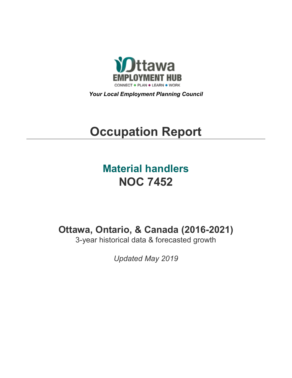

*Your Local Employment Planning Council*

# **Occupation Report**

## **Material handlers NOC 7452**

**Ottawa, Ontario, & Canada (2016-2021)**

3-year historical data & forecasted growth

*Updated May 2019*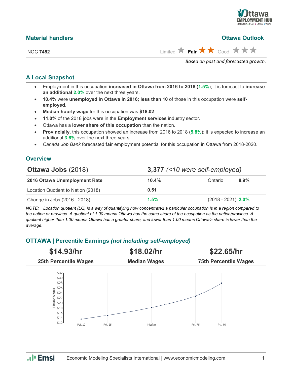

| <b>Material handlers</b> | <b>Ottawa Outlook</b>                                                         |
|--------------------------|-------------------------------------------------------------------------------|
| <b>NOC 7452</b>          | Limited $\bigstar$ Fair $\bigstar \bigstar$ Good $\bigstar \bigstar \bigstar$ |
|                          | Based on past and forecasted growth.                                          |

#### **A Local Snapshot**

- Employment in this occupation **increased in Ottawa from 2016 to 2018** (**1.5%**); it is forecast to **increase an additional 2.0%** over the next three years.
- **10.4%** were **unemployed in Ottawa in 2016; less than 10** of those in this occupation were **selfemployed**.
- **Median hourly wage** for this occupation was **\$18.02**.
- **11.0%** of the 2018 jobs were in the **Employment services** industry sector.
- Ottawa has a **lower share of this occupation** than the nation.
- **Provincially**, this occupation showed an increase from 2016 to 2018 (**5.8%**); it is expected to increase an additional **3.6%** over the next three years.
- *Canada Job Bank* forecasted **fair** employment potential for this occupation in Ottawa from 2018-2020.

#### **Overview**

| <b>Ottawa Jobs (2018)</b>          |       | $3,377$ (<10 were self-employed) |  |  |  |
|------------------------------------|-------|----------------------------------|--|--|--|
| 2016 Ottawa Unemployment Rate      | 10.4% | 8.9%<br>Ontario                  |  |  |  |
| Location Quotient to Nation (2018) | 0.51  |                                  |  |  |  |
| Change in Jobs (2016 - 2018)       | 1.5%  | $(2018 - 2021)$ 2.0%             |  |  |  |

*NOTE: Location quotient (LQ) is a way of quantifying how concentrated a particular occupation is in a region compared to the nation or province. A quotient of 1.00 means Ottawa has the same share of the occupation as the nation/province. A quotient higher than 1.00 means Ottawa has a greater share, and lower than 1.00 means Ottawa's share is lower than the average.*

#### **OTTAWA | Percentile Earnings** *(not including self-employed)*



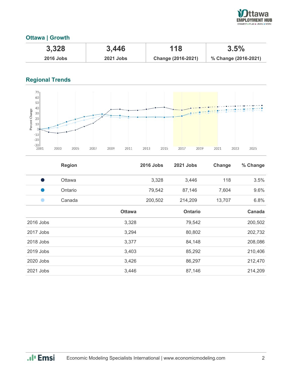

#### **Ottawa | Growth**

| 3,328            | 3,446            | 118                | 3.5%                 |
|------------------|------------------|--------------------|----------------------|
| <b>2016 Jobs</b> | <b>2021 Jobs</b> | Change (2016-2021) | % Change (2016-2021) |

### **Regional Trends**



|           | <b>Region</b> |               | <b>2016 Jobs</b> | <b>2021 Jobs</b> | Change | % Change |
|-----------|---------------|---------------|------------------|------------------|--------|----------|
|           | <b>Ottawa</b> |               | 3,328            | 3,446            | 118    | 3.5%     |
|           | Ontario       |               | 79,542           | 87,146           | 7,604  | 9.6%     |
|           | Canada        |               | 200,502          | 214,209          | 13,707 | 6.8%     |
|           |               | <b>Ottawa</b> |                  | <b>Ontario</b>   |        | Canada   |
| 2016 Jobs |               | 3,328         |                  | 79,542           |        | 200,502  |
| 2017 Jobs |               | 3,294         |                  | 80,802           |        | 202,732  |
| 2018 Jobs |               | 3,377         |                  | 84,148           |        | 208,086  |
| 2019 Jobs |               | 3,403         |                  | 85,292           |        | 210,406  |
| 2020 Jobs |               | 3,426         |                  | 86,297           |        | 212,470  |
| 2021 Jobs |               | 3,446         |                  | 87,146           |        | 214,209  |

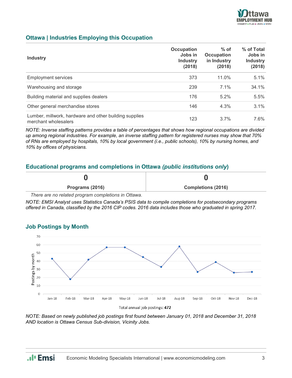

#### **Ottawa | Industries Employing this Occupation**

| <b>Industry</b>                                                                | Occupation<br>Jobs in<br><b>Industry</b><br>(2018) | $%$ of<br><b>Occupation</b><br>in Industry<br>(2018) | % of Total<br>Jobs in<br><b>Industry</b><br>(2018) |
|--------------------------------------------------------------------------------|----------------------------------------------------|------------------------------------------------------|----------------------------------------------------|
| <b>Employment services</b>                                                     | 373                                                | $11.0\%$                                             | 5.1%                                               |
| Warehousing and storage                                                        | 239                                                | 7.1%                                                 | 34.1%                                              |
| Building material and supplies dealers                                         | 176                                                | 5.2%                                                 | 5.5%                                               |
| Other general merchandise stores                                               | 146                                                | 4.3%                                                 | $3.1\%$                                            |
| Lumber, millwork, hardware and other building supplies<br>merchant wholesalers | 123                                                | $3.7\%$                                              | 7.6%                                               |

*NOTE: Inverse staffing patterns provides a table of percentages that shows how regional occupations are divided up among regional industries. For example, an inverse staffing pattern for registered nurses may show that 70% of RNs are employed by hospitals, 10% by local government (i.e., public schools), 10% by nursing homes, and 10% by offices of physicians.*

#### **Educational programs and completions in Ottawa** *(public institutions only***)**

| Programs (2016) | <b>Completions (2016)</b> |
|-----------------|---------------------------|
|                 |                           |

*There are no related program completions in Ottawa.*

*NOTE: EMSI Analyst uses Statistics Canada's PSIS data to compile completions for postsecondary programs offered in Canada, classified by the 2016 CIP codes. 2016 data includes those who graduated in spring 2017.*



#### **Job Postings by Month**

*NOTE: Based on newly published job postings first found between January 01, 2018 and December 31, 2018 AND location is Ottawa Census Sub-division, Vicinity Jobs.*